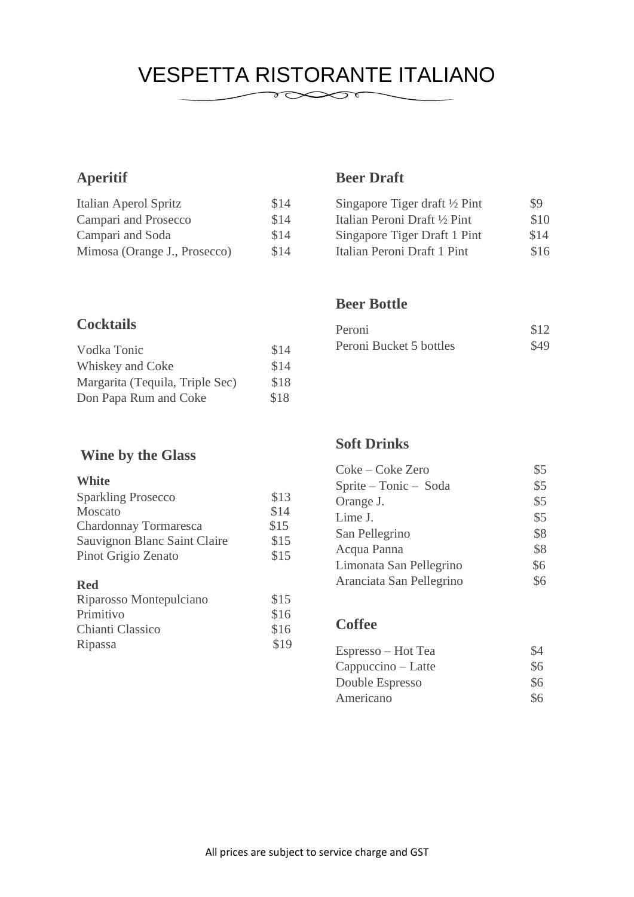### VESPETTA RISTORANTE ITALIANO  $\sum_{\ell=1}^n$

### **Aperitif**

| Italian Aperol Spritz        | \$14 |
|------------------------------|------|
| Campari and Prosecco         | \$14 |
| Campari and Soda             | \$14 |
| Mimosa (Orange J., Prosecco) | \$14 |

#### **Cocktails**

| Vodka Tonic                     | \$14 |
|---------------------------------|------|
| Whiskey and Coke                | \$14 |
| Margarita (Tequila, Triple Sec) | \$18 |
| Don Papa Rum and Coke           | \$18 |

### **Wine by the Glass**

#### **White**

| <b>Sparkling Prosecco</b>    | \$13 |
|------------------------------|------|
| Moscato                      | \$14 |
| Chardonnay Tormaresca        | \$15 |
| Sauvignon Blanc Saint Claire | \$15 |
| Pinot Grigio Zenato          | \$15 |
|                              |      |

#### **Red**

| Riparosso Montepulciano | \$15 |
|-------------------------|------|
| Primitivo               | \$16 |
| Chianti Classico        | \$16 |
| Ripassa                 | \$19 |

### **Beer Draft**

| Singapore Tiger draft $\frac{1}{2}$ Pint | \$9  |
|------------------------------------------|------|
| Italian Peroni Draft 1/2 Pint            | \$10 |
| Singapore Tiger Draft 1 Pint             | \$14 |
| Italian Peroni Draft 1 Pint              | \$16 |

#### **Beer Bottle**

| Peroni                  | \$12 |
|-------------------------|------|
| Peroni Bucket 5 bottles | \$49 |

#### **Soft Drinks**

| Coke – Coke Zero         | \$5 |
|--------------------------|-----|
| Sprite - Tonic - Soda    | \$5 |
| Orange J.                | \$5 |
| Lime J.                  | \$5 |
| San Pellegrino           | \$8 |
| Acqua Panna              | \$8 |
| Limonata San Pellegrino  | \$6 |
| Aranciata San Pellegrino | \$6 |

#### **Coffee**

| Espresso – Hot Tea | \$4 |
|--------------------|-----|
| $Cappuccino-Latte$ | \$6 |
| Double Espresso    | \$6 |
| Americano          | \$6 |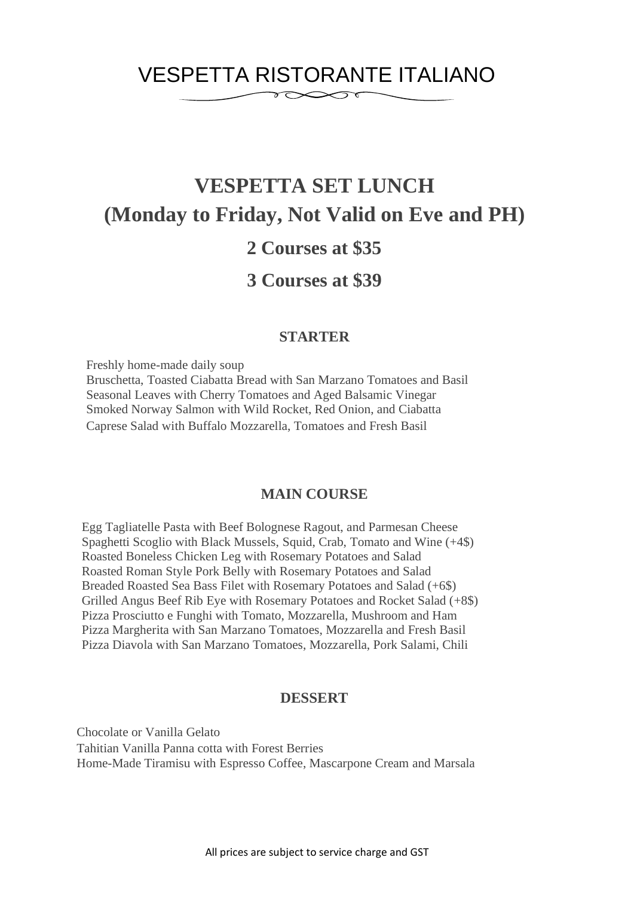### VESPETTA RISTORANTE ITALIANO

 $\infty$ r

# **VESPETTA SET LUNCH (Monday to Friday, Not Valid on Eve and PH)**

### **2 Courses at \$35**

### **3 Courses at \$39**

#### **STARTER**

Freshly home-made daily soup

Bruschetta, Toasted Ciabatta Bread with San Marzano Tomatoes and Basil Seasonal Leaves with Cherry Tomatoes and Aged Balsamic Vinegar Smoked Norway Salmon with Wild Rocket, Red Onion, and Ciabatta Caprese Salad with Buffalo Mozzarella, Tomatoes and Fresh Basil

#### **MAIN COURSE**

Egg Tagliatelle Pasta with Beef Bolognese Ragout, and Parmesan Cheese Spaghetti Scoglio with Black Mussels, Squid, Crab, Tomato and Wine (+4\$) Roasted Boneless Chicken Leg with Rosemary Potatoes and Salad Roasted Roman Style Pork Belly with Rosemary Potatoes and Salad Breaded Roasted Sea Bass Filet with Rosemary Potatoes and Salad (+6\$) Grilled Angus Beef Rib Eye with Rosemary Potatoes and Rocket Salad (+8\$) Pizza Prosciutto e Funghi with Tomato, Mozzarella, Mushroom and Ham Pizza Margherita with San Marzano Tomatoes, Mozzarella and Fresh Basil Pizza Diavola with San Marzano Tomatoes, Mozzarella, Pork Salami, Chili

#### **DESSERT**

Chocolate or Vanilla Gelato Tahitian Vanilla Panna cotta with Forest Berries Home-Made Tiramisu with Espresso Coffee, Mascarpone Cream and Marsala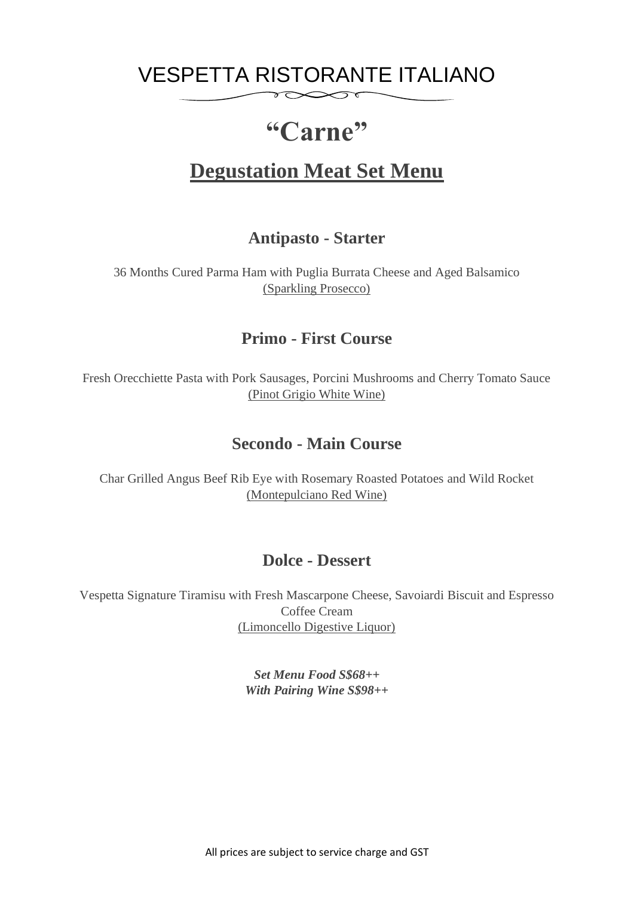### VESPETTA RISTORANTE ITALIANO  $\delta \infty$

# **"Carne"**

## **Degustation Meat Set Menu**

### **Antipasto - Starter**

36 Months Cured Parma Ham with Puglia Burrata Cheese and Aged Balsamico (Sparkling Prosecco)

### **Primo - First Course**

Fresh Orecchiette Pasta with Pork Sausages, Porcini Mushrooms and Cherry Tomato Sauce (Pinot Grigio White Wine)

### **Secondo - Main Course**

Char Grilled Angus Beef Rib Eye with Rosemary Roasted Potatoes and Wild Rocket (Montepulciano Red Wine)

### **Dolce - Dessert**

Vespetta Signature Tiramisu with Fresh Mascarpone Cheese, Savoiardi Biscuit and Espresso Coffee Cream (Limoncello Digestive Liquor)

> *Set Menu Food S\$68++ With Pairing Wine S\$98++*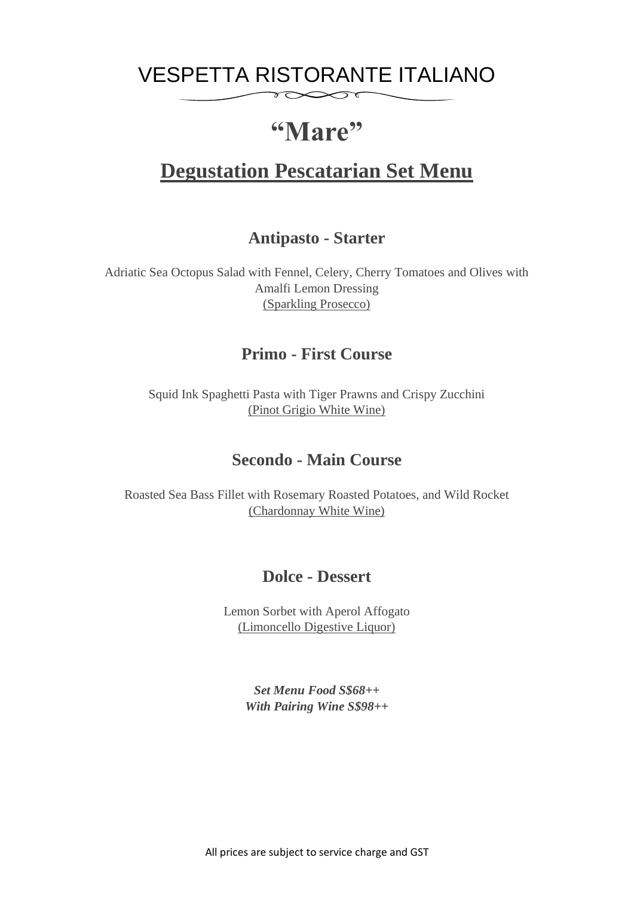### VESPETTA RISTORANTE ITALIANO  $\delta \infty$

# **"Mare"**

## **Degustation Pescatarian Set Menu**

### **Antipasto - Starter**

Adriatic Sea Octopus Salad with Fennel, Celery, Cherry Tomatoes and Olives with Amalfi Lemon Dressing (Sparkling Prosecco)

### **Primo - First Course**

Squid Ink Spaghetti Pasta with Tiger Prawns and Crispy Zucchini (Pinot Grigio White Wine)

### **Secondo - Main Course**

Roasted Sea Bass Fillet with Rosemary Roasted Potatoes, and Wild Rocket (Chardonnay White Wine)

#### **Dolce - Dessert**

Lemon Sorbet with Aperol Affogato (Limoncello Digestive Liquor)

> *Set Menu Food S\$68++ With Pairing Wine S\$98++*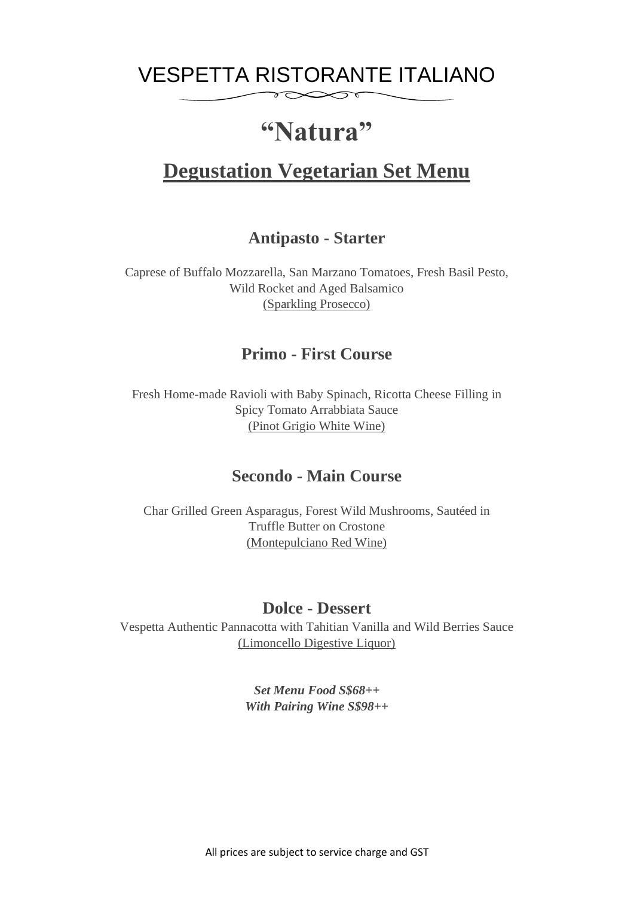## VESPETTA RISTORANTE ITALIANO

 $\infty$ 

# **"Natura"**

### **Degustation Vegetarian Set Menu**

#### **Antipasto - Starter**

Caprese of Buffalo Mozzarella, San Marzano Tomatoes, Fresh Basil Pesto, Wild Rocket and Aged Balsamico (Sparkling Prosecco)

#### **Primo - First Course**

Fresh Home-made Ravioli with Baby Spinach, Ricotta Cheese Filling in Spicy Tomato Arrabbiata Sauce (Pinot Grigio White Wine)

#### **Secondo - Main Course**

Char Grilled Green Asparagus, Forest Wild Mushrooms, Sautéed in Truffle Butter on Crostone (Montepulciano Red Wine)

#### **Dolce - Dessert**

Vespetta Authentic Pannacotta with Tahitian Vanilla and Wild Berries Sauce (Limoncello Digestive Liquor)

> *Set Menu Food S\$68++ With Pairing Wine S\$98++*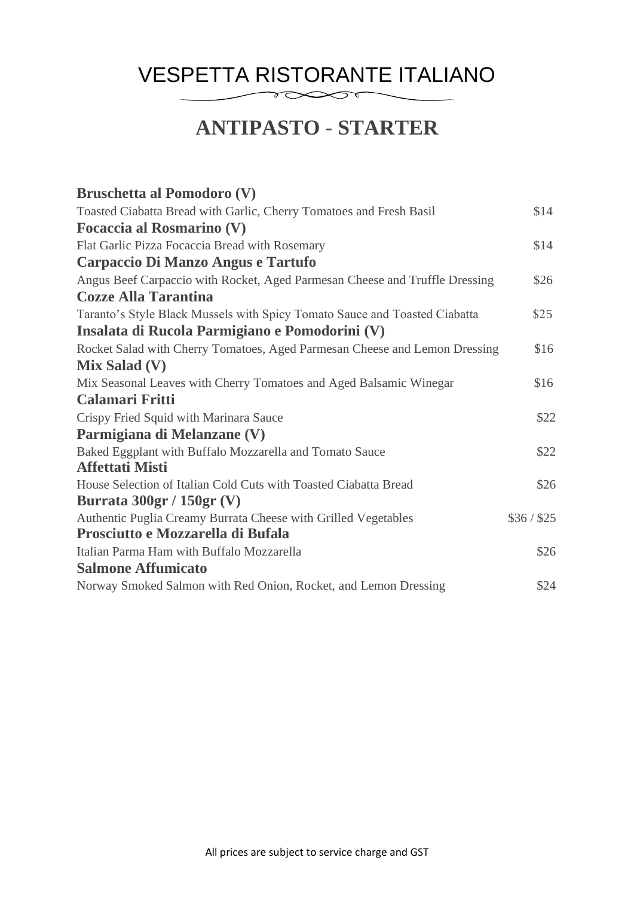## **ANTIPASTO** - **STARTER**

| <b>Bruschetta al Pomodoro (V)</b>                                           |             |
|-----------------------------------------------------------------------------|-------------|
| Toasted Ciabatta Bread with Garlic, Cherry Tomatoes and Fresh Basil         | \$14        |
| <b>Focaccia al Rosmarino (V)</b>                                            |             |
| Flat Garlic Pizza Focaccia Bread with Rosemary                              | \$14        |
| Carpaccio Di Manzo Angus e Tartufo                                          |             |
| Angus Beef Carpaccio with Rocket, Aged Parmesan Cheese and Truffle Dressing | \$26        |
| <b>Cozze Alla Tarantina</b>                                                 |             |
| Taranto's Style Black Mussels with Spicy Tomato Sauce and Toasted Ciabatta  | \$25        |
| Insalata di Rucola Parmigiano e Pomodorini (V)                              |             |
| Rocket Salad with Cherry Tomatoes, Aged Parmesan Cheese and Lemon Dressing  | \$16        |
| <b>Mix Salad (V)</b>                                                        |             |
| Mix Seasonal Leaves with Cherry Tomatoes and Aged Balsamic Winegar          | \$16        |
| <b>Calamari Fritti</b>                                                      |             |
| Crispy Fried Squid with Marinara Sauce                                      | \$22        |
| Parmigiana di Melanzane (V)                                                 |             |
| Baked Eggplant with Buffalo Mozzarella and Tomato Sauce                     | \$22        |
| <b>Affettati Misti</b>                                                      |             |
| House Selection of Italian Cold Cuts with Toasted Ciabatta Bread            | \$26        |
| Burrata $300gr / 150gr$ (V)                                                 |             |
| Authentic Puglia Creamy Burrata Cheese with Grilled Vegetables              | \$36 / \$25 |
| Prosciutto e Mozzarella di Bufala                                           |             |
| Italian Parma Ham with Buffalo Mozzarella                                   | \$26        |
| <b>Salmone Affumicato</b>                                                   |             |
| Norway Smoked Salmon with Red Onion, Rocket, and Lemon Dressing             | \$24        |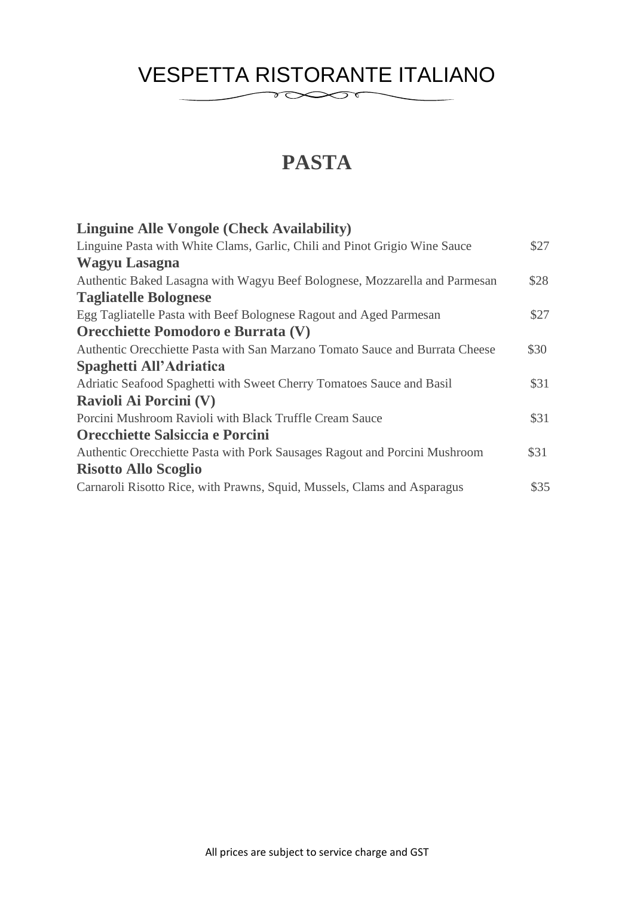## **PASTA**

| \$27 |
|------|
|      |
| \$28 |
|      |
| \$27 |
|      |
| \$30 |
|      |
| \$31 |
|      |
| \$31 |
|      |
| \$31 |
|      |
| \$35 |
|      |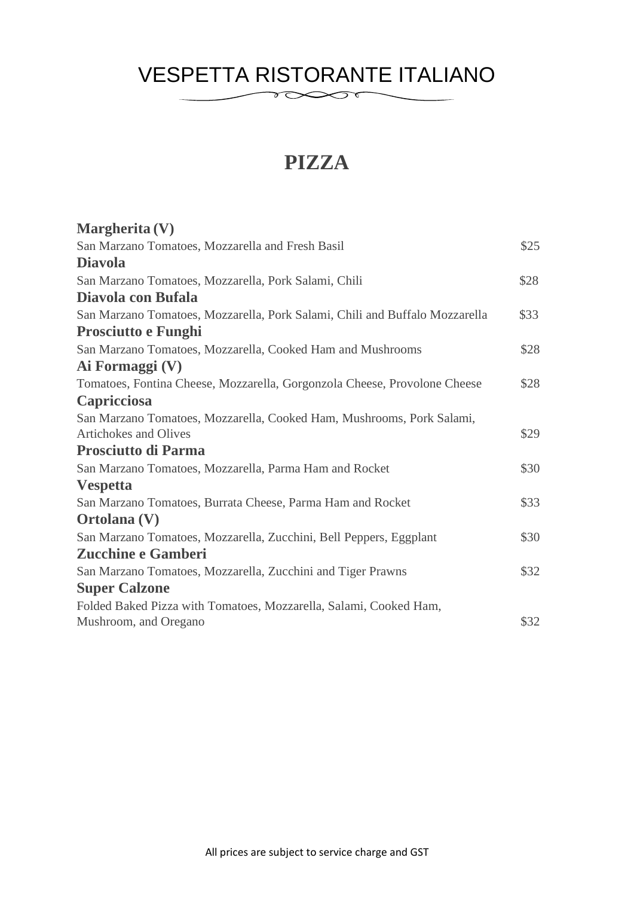## **PIZZA**

| Margherita (V)                                                              |      |
|-----------------------------------------------------------------------------|------|
| San Marzano Tomatoes, Mozzarella and Fresh Basil                            | \$25 |
| <b>Diavola</b>                                                              |      |
| San Marzano Tomatoes, Mozzarella, Pork Salami, Chili                        | \$28 |
| Diavola con Bufala                                                          |      |
| San Marzano Tomatoes, Mozzarella, Pork Salami, Chili and Buffalo Mozzarella | \$33 |
| <b>Prosciutto e Funghi</b>                                                  |      |
| San Marzano Tomatoes, Mozzarella, Cooked Ham and Mushrooms                  | \$28 |
| Ai Formaggi (V)                                                             |      |
| Tomatoes, Fontina Cheese, Mozzarella, Gorgonzola Cheese, Provolone Cheese   | \$28 |
| Capricciosa                                                                 |      |
| San Marzano Tomatoes, Mozzarella, Cooked Ham, Mushrooms, Pork Salami,       |      |
| Artichokes and Olives                                                       | \$29 |
| <b>Prosciutto di Parma</b>                                                  |      |
| San Marzano Tomatoes, Mozzarella, Parma Ham and Rocket                      | \$30 |
| <b>Vespetta</b>                                                             |      |
| San Marzano Tomatoes, Burrata Cheese, Parma Ham and Rocket                  | \$33 |
| Ortolana (V)                                                                |      |
| San Marzano Tomatoes, Mozzarella, Zucchini, Bell Peppers, Eggplant          | \$30 |
| <b>Zucchine e Gamberi</b>                                                   |      |
| San Marzano Tomatoes, Mozzarella, Zucchini and Tiger Prawns                 | \$32 |
| <b>Super Calzone</b>                                                        |      |
| Folded Baked Pizza with Tomatoes, Mozzarella, Salami, Cooked Ham,           |      |
| Mushroom, and Oregano                                                       | \$32 |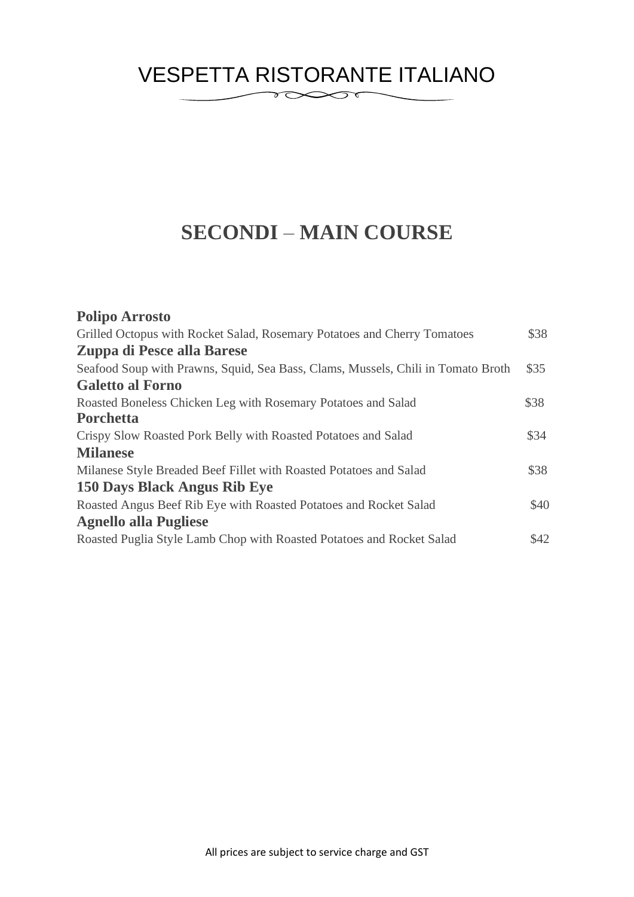### VESPETTA RISTORANTE ITALIANO  $\sum_{\ell=1}^n$

## **SECONDI** – **MAIN COURSE**

| <b>Polipo Arrosto</b>                                                            |      |
|----------------------------------------------------------------------------------|------|
| Grilled Octopus with Rocket Salad, Rosemary Potatoes and Cherry Tomatoes         | \$38 |
| Zuppa di Pesce alla Barese                                                       |      |
| Seafood Soup with Prawns, Squid, Sea Bass, Clams, Mussels, Chili in Tomato Broth | \$35 |
| <b>Galetto al Forno</b>                                                          |      |
| Roasted Boneless Chicken Leg with Rosemary Potatoes and Salad                    | \$38 |
| Porchetta                                                                        |      |
| Crispy Slow Roasted Pork Belly with Roasted Potatoes and Salad                   | \$34 |
| <b>Milanese</b>                                                                  |      |
| Milanese Style Breaded Beef Fillet with Roasted Potatoes and Salad               | \$38 |
| 150 Days Black Angus Rib Eye                                                     |      |
| Roasted Angus Beef Rib Eye with Roasted Potatoes and Rocket Salad                | \$40 |
| <b>Agnello alla Pugliese</b>                                                     |      |
| Roasted Puglia Style Lamb Chop with Roasted Potatoes and Rocket Salad            | \$42 |
|                                                                                  |      |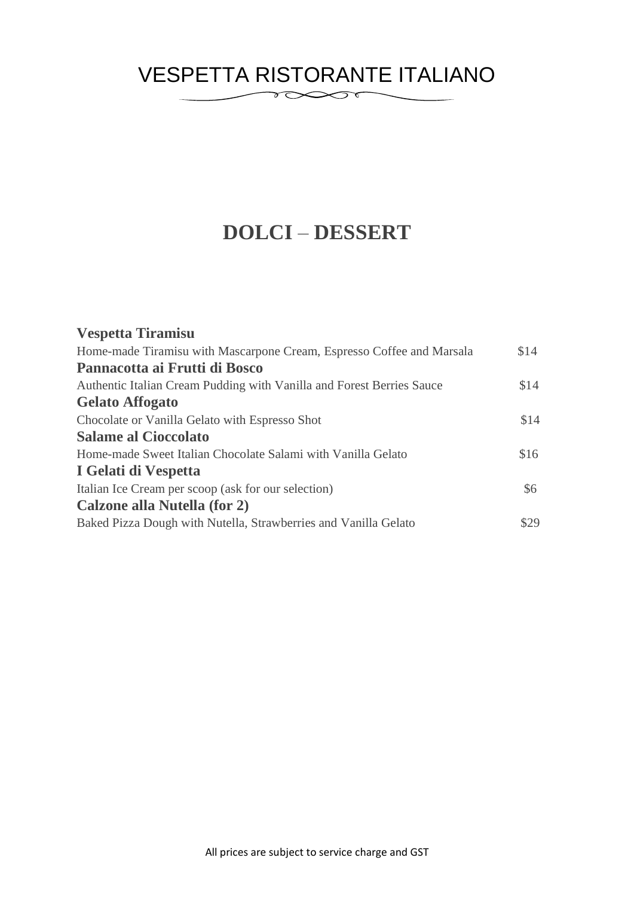## **DOLCI** – **DESSERT**

| <b>Vespetta Tiramisu</b>                                              |      |
|-----------------------------------------------------------------------|------|
| Home-made Tiramisu with Mascarpone Cream, Espresso Coffee and Marsala | \$14 |
| Pannacotta ai Frutti di Bosco                                         |      |
| Authentic Italian Cream Pudding with Vanilla and Forest Berries Sauce | \$14 |
| <b>Gelato Affogato</b>                                                |      |
| Chocolate or Vanilla Gelato with Espresso Shot                        | \$14 |
| <b>Salame al Cioccolato</b>                                           |      |
| Home-made Sweet Italian Chocolate Salami with Vanilla Gelato          | \$16 |
| I Gelati di Vespetta                                                  |      |
| Italian Ice Cream per scoop (ask for our selection)                   | \$6  |
| Calzone alla Nutella (for 2)                                          |      |
| Baked Pizza Dough with Nutella, Strawberries and Vanilla Gelato       | \$29 |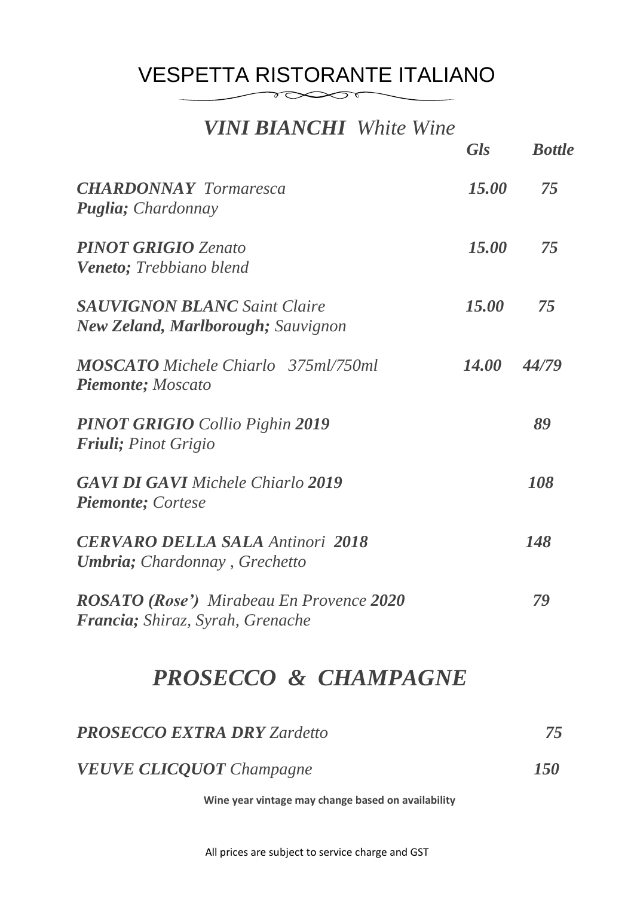## VESPETTA RISTORANTE ITALIANO

### *VINI BIANCHI White Wine*

 $\infty$ r

|                                                                                     | <b>Gls</b>   | <b>Bottle</b> |
|-------------------------------------------------------------------------------------|--------------|---------------|
| <b>CHARDONNAY</b> Tormaresca<br><b>Puglia</b> ; Chardonnay                          | 15.00        | 75            |
| <b>PINOT GRIGIO Zenato</b><br><b>Veneto</b> ; Trebbiano blend                       | 15.00        | 75            |
| <b>SAUVIGNON BLANC Saint Claire</b><br><b>New Zeland, Marlborough; Sauvignon</b>    | 15.00        | 75            |
| <b>MOSCATO</b> Michele Chiarlo 375ml/750ml<br><b>Piemonte</b> ; Moscato             | <i>14.00</i> | 44/79         |
| <b>PINOT GRIGIO</b> Collio Pighin 2019<br><b>Friuli</b> ; Pinot Grigio              |              | 89            |
| <b>GAVI DI GAVI Michele Chiarlo 2019</b><br><b>Piemonte</b> ; Cortese               |              | 108           |
| <b>CERVARO DELLA SALA Antinori 2018</b><br><b>Umbria</b> ; Chardonnay, Grechetto    |              | 148           |
| <b>ROSATO (Rose')</b> Mirabeau En Provence 2020<br>Francia; Shiraz, Syrah, Grenache |              | 79            |

# *PROSECCO & CHAMPAGNE*

| <b>PROSECCO EXTRA DRY Zardetto</b> |     |
|------------------------------------|-----|
| <b>VEUVE CLICQUOT</b> Champagne    | 150 |

**Wine year vintage may change based on availability**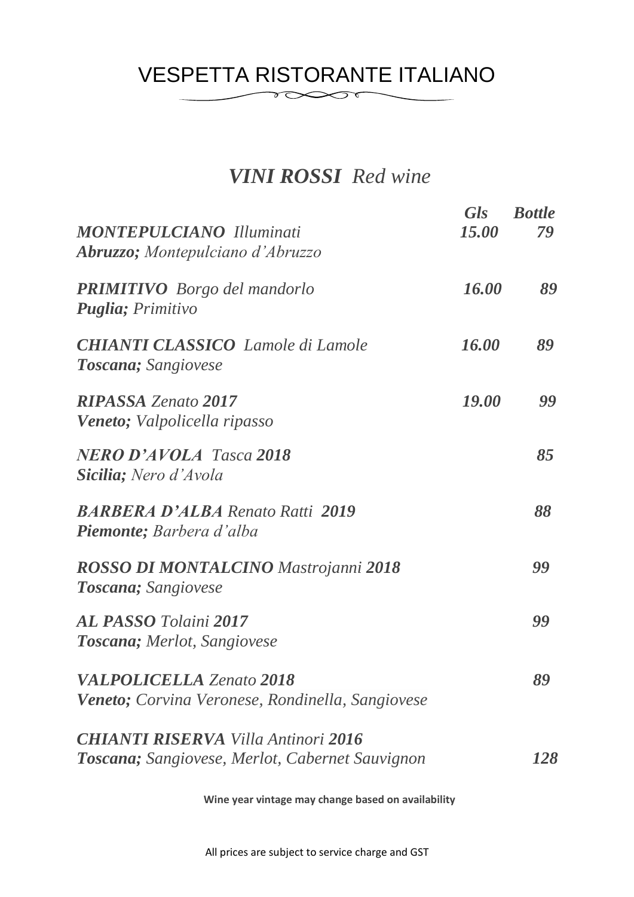### VESPETTA RISTORANTE ITALIANO  $\gamma \infty$

## *VINI ROSSI Red wine*

| <b>MONTEPULCIANO</b> Illuminati<br><b>Abruzzo</b> ; Montepulciano d'Abruzzo                   | <b>Gls</b><br>15.00 | <b>Bottle</b><br>79 |
|-----------------------------------------------------------------------------------------------|---------------------|---------------------|
| <b>PRIMITIVO</b> Borgo del mandorlo<br><b>Puglia</b> ; Primitivo                              | 16.00               | 89                  |
| <b>CHIANTI CLASSICO</b> Lamole di Lamole<br><b>Toscana</b> ; Sangiovese                       | 16.00               | 89                  |
| <b>RIPASSA Zenato 2017</b><br><b>Veneto</b> ; Valpolicella ripasso                            | 19.00               | 99                  |
| <b>NERO D'AVOLA Tasca 2018</b><br><b>Sicilia</b> ; Nero d'Avola                               |                     | 85                  |
| <b>BARBERA D'ALBA</b> Renato Ratti 2019<br><b>Piemonte</b> ; Barbera d'alba                   |                     | 88                  |
| <b>ROSSO DI MONTALCINO Mastrojanni 2018</b><br><b>Toscana</b> ; Sangiovese                    |                     | 99                  |
| <b>AL PASSO</b> Tolaini 2017<br><b>Toscana</b> ; Merlot, Sangiovese                           |                     | 99                  |
| <b>VALPOLICELLA Zenato 2018</b><br><b>Veneto;</b> Corvina Veronese, Rondinella, Sangiovese    |                     | 89                  |
| <b>CHIANTI RISERVA Villa Antinori 2016</b><br>Toscana; Sangiovese, Merlot, Cabernet Sauvignon |                     | 128                 |

**Wine year vintage may change based on availability**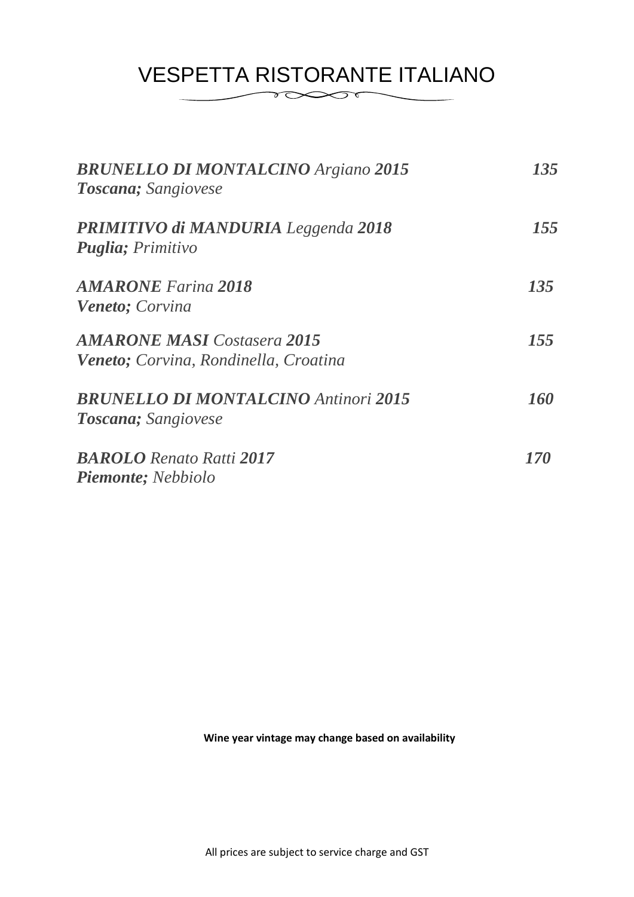| <b>BRUNELLO DI MONTALCINO Argiano 2015</b><br><b>Toscana</b> ; Sangiovese   | 135 |
|-----------------------------------------------------------------------------|-----|
| <b>PRIMITIVO di MANDURIA</b> Leggenda 2018<br><b>Puglia</b> ; Primitivo     | 155 |
| <b>AMARONE</b> Farina 2018<br><b>Veneto</b> ; Corvina                       | 135 |
| <b>AMARONE MASI</b> Costasera 2015<br>Veneto; Corvina, Rondinella, Croatina | 155 |
| <b>BRUNELLO DI MONTALCINO Antinori 2015</b><br><b>Toscana</b> ; Sangiovese  | 160 |
| <b>BAROLO</b> Renato Ratti 2017<br><b>Piemonte</b> ; Nebbiolo               | 170 |

**Wine year vintage may change based on availability**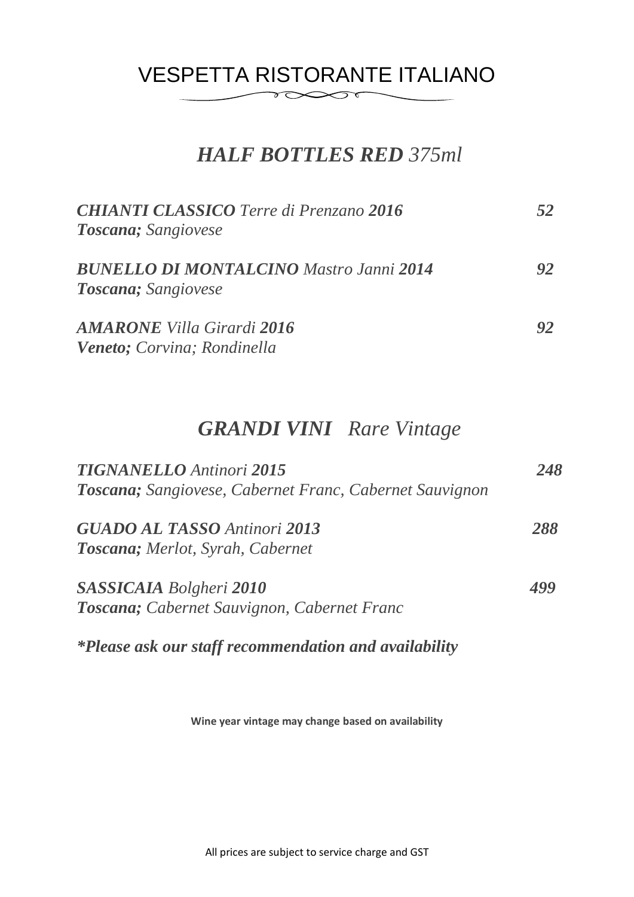### VESPETTA RISTORANTE ITALIANO  $\delta \infty$

### *HALF BOTTLES RED 375ml*

| <b>CHIANTI CLASSICO</b> Terre di Prenzano 2016<br>Toscana; Sangiovese         |    |
|-------------------------------------------------------------------------------|----|
| <b>BUNELLO DI MONTALCINO Mastro Janni 2014</b><br><b>Toscana</b> ; Sangiovese | 92 |
| <b>AMARONE</b> Villa Girardi 2016<br>Veneto; Corvina; Rondinella              | 92 |

### *GRANDI VINI Rare Vintage*

| <b>TIGNANELLO</b> Antinori 2015                         | 248 |
|---------------------------------------------------------|-----|
| Toscana; Sangiovese, Cabernet Franc, Cabernet Sauvignon |     |
| <b>GUADO AL TASSO Antinori 2013</b>                     | 288 |
| <b>Toscana</b> ; Merlot, Syrah, Cabernet                |     |
| <b>SASSICAIA</b> Bolgheri 2010                          |     |
| Toscana; Cabernet Sauvignon, Cabernet Franc             |     |
|                                                         |     |

*\*Please ask our staff recommendation and availability*

**Wine year vintage may change based on availability**